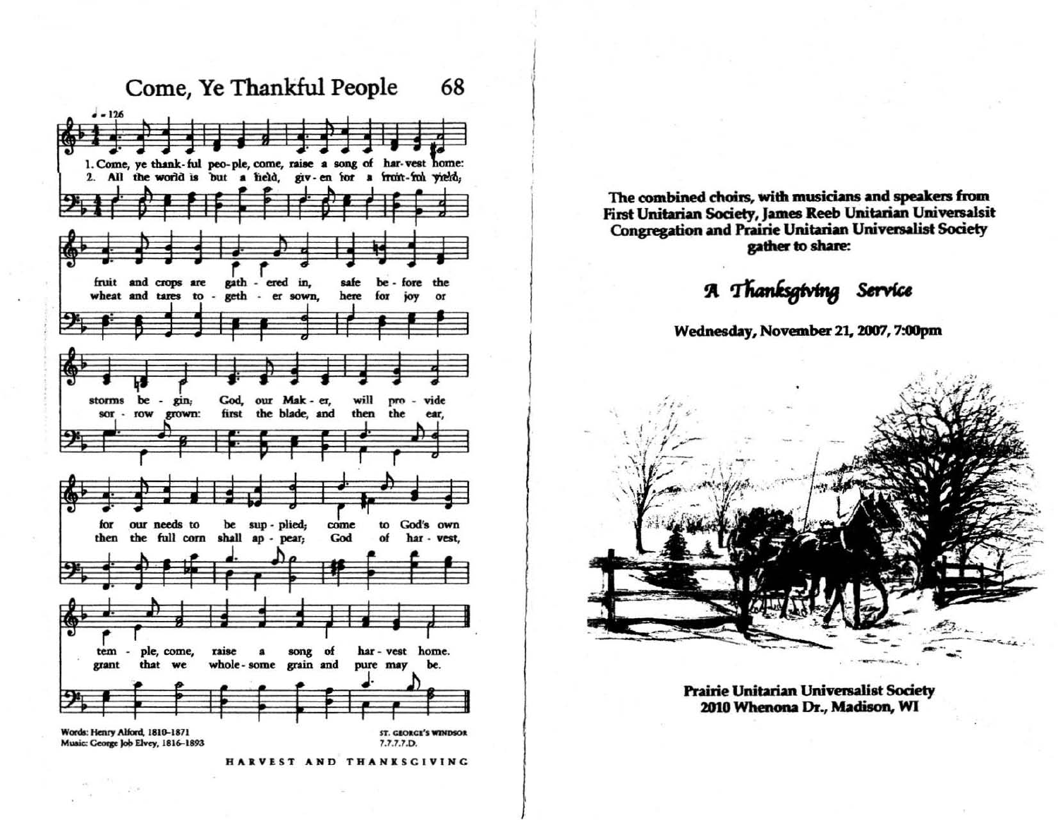

The combined choirs, with musicians and speakers from First Unitarian Society, James Reeb Unitarian Universalsit **Congregation and Prairie Unitarian Universalist Society** gather to share:

A Thanksgiving Service

Wednesday, November 21, 2007, 7:00pm



**Prairie Unitarian Universalist Society** 2010 Whenona Dr., Madison, WI